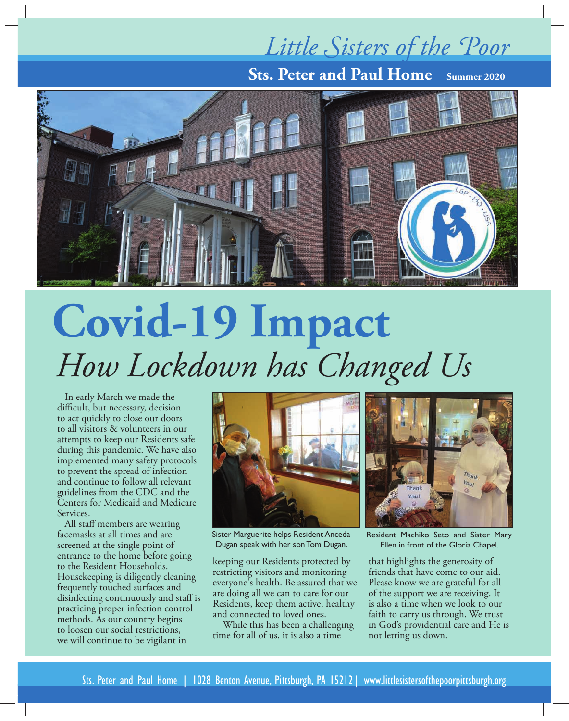## *Little Sisters of the Poor*

**Sts. Peter and Paul Home Summer 2020**



# **Covid-19 Impact** *How Lockdown has Changed Us*

In early March we made the difficult, but necessary, decision to act quickly to close our doors to all visitors & volunteers in our attempts to keep our Residents safe during this pandemic. We have also implemented many safety protocols to prevent the spread of infection and continue to follow all relevant guidelines from the CDC and the Centers for Medicaid and Medicare Services.

All staff members are wearing facemasks at all times and are screened at the single point of entrance to the home before going to the Resident Households. Housekeeping is diligently cleaning frequently touched surfaces and disinfecting continuously and staff is practicing proper infection control methods. As our country begins to loosen our social restrictions, we will continue to be vigilant in



Sister Marguerite helps Resident Anceda Dugan speak with her son Tom Dugan.

keeping our Residents protected by restricting visitors and monitoring everyone's health. Be assured that we are doing all we can to care for our Residents, keep them active, healthy and connected to loved ones.

 While this has been a challenging time for all of us, it is also a time



Resident Machiko Seto and Sister Mary Ellen in front of the Gloria Chapel.

that highlights the generosity of friends that have come to our aid. Please know we are grateful for all of the support we are receiving. It is also a time when we look to our faith to carry us through. We trust in God's providential care and He is not letting us down.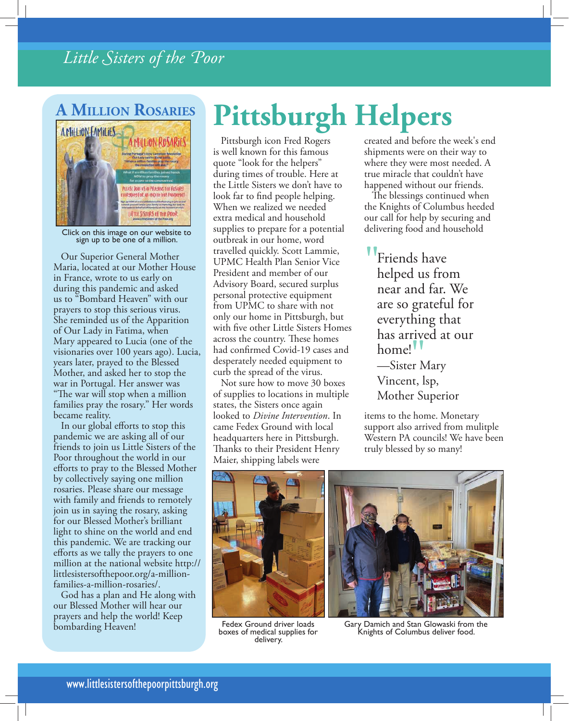#### *Little Sisters of the Poor*

#### **' 'illion 'osaries**



Click on this image on our website to sign up to be one of a million.

Our Superior General Mother Maria, located at our Mother House in France, wrote to us early on during this pandemic and asked us to "Bombard Heaven" with our prayers to stop this serious virus. She reminded us of the Apparition of Our Lady in Fatima, when Mary appeared to Lucia (one of the visionaries over 100 years ago). Lucia, years later, prayed to the Blessed Mother, and asked her to stop the war in Portugal. Her answer was "The war will stop when a million families pray the rosary." Her words became reality.

In our global efforts to stop this pandemic we are asking all of our friends to join us Little Sisters of the Poor throughout the world in our efforts to pray to the Blessed Mother by collectively saying one million rosaries. Please share our message with family and friends to remotely join us in saying the rosary, asking for our Blessed Mother's brilliant light to shine on the world and end this pandemic. We are tracking our efforts as we tally the prayers to one million at the national website http:// littlesistersofthepoor.org/a-millionfamilies-a-million-rosaries/.

God has a plan and He along with our Blessed Mother will hear our prayers and help the world! Keep

## **Pittsburgh Helpers**

Pittsburgh icon Fred Rogers is well known for this famous quote "look for the helpers" during times of trouble. Here at the Little Sisters we don't have to look far to find people helping. When we realized we needed extra medical and household supplies to prepare for a potential outbreak in our home, word travelled quickly. Scott Lammie, UPMC Health Plan Senior Vice President and member of our Advisory Board, secured surplus personal protective equipment from UPMC to share with not only our home in Pittsburgh, but with five other Little Sisters Homes across the country. These homes had confirmed Covid-19 cases and desperately needed equipment to curb the spread of the virus.

Not sure how to move 30 boxes of supplies to locations in multiple states, the Sisters once again looked to *Divine Intervention*. In came Fedex Ground with local headquarters here in Pittsburgh. Thanks to their President Henry Maier, shipping labels were

created and before the week's end shipments were on their way to where they were most needed. A true miracle that couldn't have happened without our friends.

The blessings continued when the Knights of Columbus heeded our call for help by securing and delivering food and household

"Friends have helped us from near and far. We are so grateful for everything that has arrived at our home!<sup>'</sup> —Sister Mary Vincent, lsp, Mother Superior  $\frac{1}{\pi}$ <br> $\frac{1}{\pi}$ 

items to the home. Monetary support also arrived from mulitple Western PA councils! We have been truly blessed by so many!



Fedex Ground driver loads boxes of medical supplies for delivery.



For the Heaven!<br>
Fedex Ground driver loads Gary Damich and Stan Glowaski from the Knights of Columbus deliver food.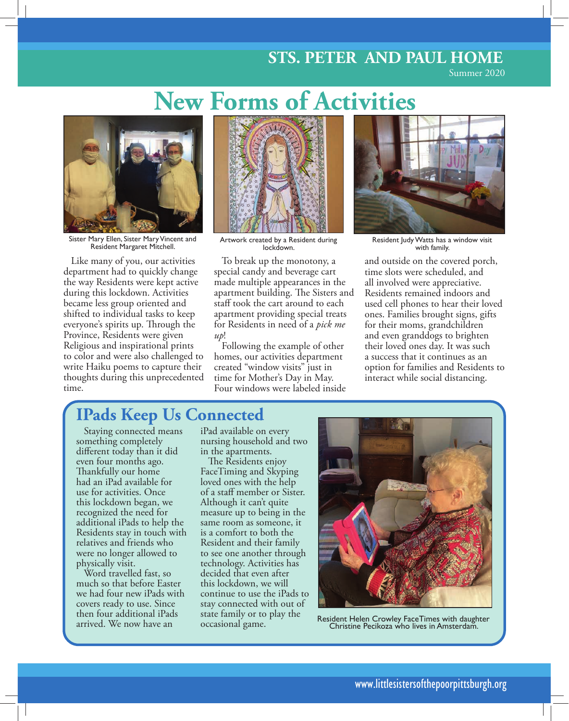#### **STS. PETER AND PAUL HOME**

Summer 2020

### **New Forms of Activities**



Sister Mary Ellen, Sister Mary Vincent and Resident Margaret Mitchell.

Like many of you, our activities department had to quickly change the way Residents were kept active during this lockdown. Activities became less group oriented and shifted to individual tasks to keep everyone's spirits up. Through the Province, Residents were given Religious and inspirational prints to color and were also challenged to write Haiku poems to capture their thoughts during this unprecedented time.



Artwork created by a Resident during lockdown.

To break up the monotony, a special candy and beverage cart made multiple appearances in the apartment building. The Sisters and staff took the cart around to each apartment providing special treats for Residents in need of a *pick me up*!

Following the example of other homes, our activities department created "window visits" just in time for Mother's Day in May. Four windows were labeled inside



Resident Judy Watts has a window visit with family.

and outside on the covered porch, time slots were scheduled, and all involved were appreciative. Residents remained indoors and used cell phones to hear their loved ones. Families brought signs, gifts for their moms, grandchildren and even granddogs to brighten their loved ones day. It was such a success that it continues as an option for families and Residents to interact while social distancing.

#### **IPads Keep Us Connected**

Staying connected means something completely different today than it did even four months ago. Thankfully our home had an iPad available for use for activities. Once this lockdown began, we recognized the need for additional iPads to help the Residents stay in touch with relatives and friends who were no longer allowed to physically visit.

Word travelled fast, so much so that before Easter we had four new iPads with covers ready to use. Since then four additional iPads arrived. We now have an

iPad available on every nursing household and two in the apartments.

The Residents enjoy FaceTiming and Skyping loved ones with the help of a staff member or Sister. Although it can't quite measure up to being in the same room as someone, it is a comfort to both the Resident and their family to see one another through technology. Activities has decided that even after this lockdown, we will continue to use the iPads to stay connected with out of state family or to play the occasional game.



Resident Helen Crowley FaceTimes with daughter Christine Pecikoza who lives in Amsterdam.